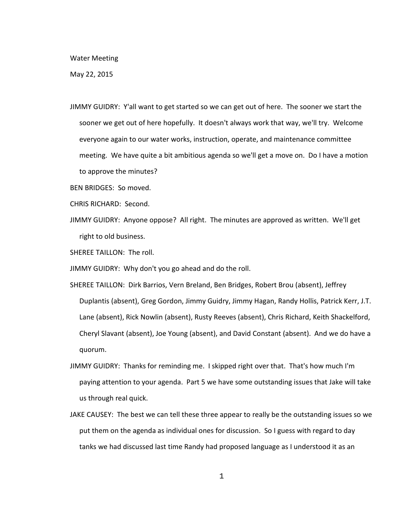## Water Meeting

May 22, 2015

- JIMMY GUIDRY: Y'all want to get started so we can get out of here. The sooner we start the sooner we get out of here hopefully. It doesn't always work that way, we'll try. Welcome everyone again to our water works, instruction, operate, and maintenance committee meeting. We have quite a bit ambitious agenda so we'll get a move on. Do I have a motion to approve the minutes?
- BEN BRIDGES: So moved.
- CHRIS RICHARD: Second.
- JIMMY GUIDRY: Anyone oppose? All right. The minutes are approved as written. We'll get right to old business.
- SHEREE TAILLON: The roll.
- JIMMY GUIDRY: Why don't you go ahead and do the roll.
- SHEREE TAILLON: Dirk Barrios, Vern Breland, Ben Bridges, Robert Brou (absent), Jeffrey Duplantis (absent), Greg Gordon, Jimmy Guidry, Jimmy Hagan, Randy Hollis, Patrick Kerr, J.T. Lane (absent), Rick Nowlin (absent), Rusty Reeves (absent), Chris Richard, Keith Shackelford, Cheryl Slavant (absent), Joe Young (absent), and David Constant (absent). And we do have a quorum.
- JIMMY GUIDRY: Thanks for reminding me. I skipped right over that. That's how much I'm paying attention to your agenda. Part 5 we have some outstanding issues that Jake will take us through real quick.
- JAKE CAUSEY: The best we can tell these three appear to really be the outstanding issues so we put them on the agenda as individual ones for discussion. So I guess with regard to day tanks we had discussed last time Randy had proposed language as I understood it as an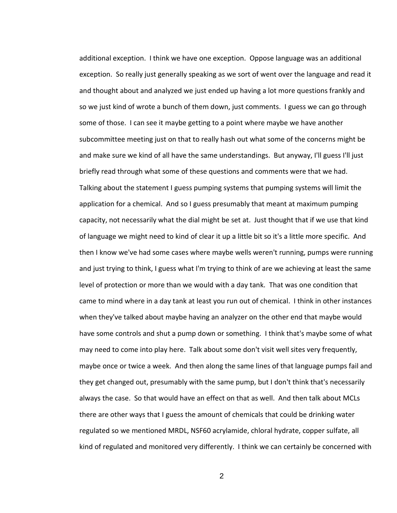additional exception. I think we have one exception. Oppose language was an additional exception. So really just generally speaking as we sort of went over the language and read it and thought about and analyzed we just ended up having a lot more questions frankly and so we just kind of wrote a bunch of them down, just comments. I guess we can go through some of those. I can see it maybe getting to a point where maybe we have another subcommittee meeting just on that to really hash out what some of the concerns might be and make sure we kind of all have the same understandings. But anyway, I'll guess I'll just briefly read through what some of these questions and comments were that we had. Talking about the statement I guess pumping systems that pumping systems will limit the application for a chemical. And so I guess presumably that meant at maximum pumping capacity, not necessarily what the dial might be set at. Just thought that if we use that kind of language we might need to kind of clear it up a little bit so it's a little more specific. And then I know we've had some cases where maybe wells weren't running, pumps were running and just trying to think, I guess what I'm trying to think of are we achieving at least the same level of protection or more than we would with a day tank. That was one condition that came to mind where in a day tank at least you run out of chemical. I think in other instances when they've talked about maybe having an analyzer on the other end that maybe would have some controls and shut a pump down or something. I think that's maybe some of what may need to come into play here. Talk about some don't visit well sites very frequently, maybe once or twice a week. And then along the same lines of that language pumps fail and they get changed out, presumably with the same pump, but I don't think that's necessarily always the case. So that would have an effect on that as well. And then talk about MCLs there are other ways that I guess the amount of chemicals that could be drinking water regulated so we mentioned MRDL, NSF60 acrylamide, chloral hydrate, copper sulfate, all kind of regulated and monitored very differently. I think we can certainly be concerned with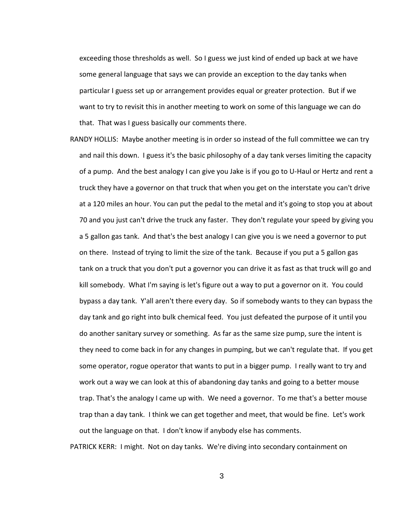exceeding those thresholds as well. So I guess we just kind of ended up back at we have some general language that says we can provide an exception to the day tanks when particular I guess set up or arrangement provides equal or greater protection. But if we want to try to revisit this in another meeting to work on some of this language we can do that. That was I guess basically our comments there.

RANDY HOLLIS: Maybe another meeting is in order so instead of the full committee we can try and nail this down. I guess it's the basic philosophy of a day tank verses limiting the capacity of a pump. And the best analogy I can give you Jake is if you go to U-Haul or Hertz and rent a truck they have a governor on that truck that when you get on the interstate you can't drive at a 120 miles an hour. You can put the pedal to the metal and it's going to stop you at about 70 and you just can't drive the truck any faster. They don't regulate your speed by giving you a 5 gallon gas tank. And that's the best analogy I can give you is we need a governor to put on there. Instead of trying to limit the size of the tank. Because if you put a 5 gallon gas tank on a truck that you don't put a governor you can drive it as fast as that truck will go and kill somebody. What I'm saying is let's figure out a way to put a governor on it. You could bypass a day tank. Y'all aren't there every day. So if somebody wants to they can bypass the day tank and go right into bulk chemical feed. You just defeated the purpose of it until you do another sanitary survey or something. As far as the same size pump, sure the intent is they need to come back in for any changes in pumping, but we can't regulate that. If you get some operator, rogue operator that wants to put in a bigger pump. I really want to try and work out a way we can look at this of abandoning day tanks and going to a better mouse trap. That's the analogy I came up with. We need a governor. To me that's a better mouse trap than a day tank. I think we can get together and meet, that would be fine. Let's work out the language on that. I don't know if anybody else has comments.

PATRICK KERR: I might. Not on day tanks. We're diving into secondary containment on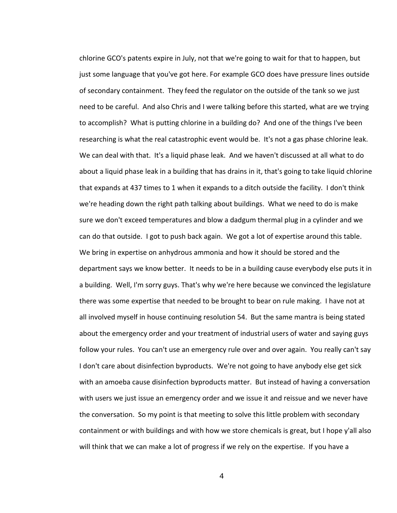chlorine GCO's patents expire in July, not that we're going to wait for that to happen, but just some language that you've got here. For example GCO does have pressure lines outside of secondary containment. They feed the regulator on the outside of the tank so we just need to be careful. And also Chris and I were talking before this started, what are we trying to accomplish? What is putting chlorine in a building do? And one of the things I've been researching is what the real catastrophic event would be. It's not a gas phase chlorine leak. We can deal with that. It's a liquid phase leak. And we haven't discussed at all what to do about a liquid phase leak in a building that has drains in it, that's going to take liquid chlorine that expands at 437 times to 1 when it expands to a ditch outside the facility. I don't think we're heading down the right path talking about buildings. What we need to do is make sure we don't exceed temperatures and blow a dadgum thermal plug in a cylinder and we can do that outside. I got to push back again. We got a lot of expertise around this table. We bring in expertise on anhydrous ammonia and how it should be stored and the department says we know better. It needs to be in a building cause everybody else puts it in a building. Well, I'm sorry guys. That's why we're here because we convinced the legislature there was some expertise that needed to be brought to bear on rule making. I have not at all involved myself in house continuing resolution 54. But the same mantra is being stated about the emergency order and your treatment of industrial users of water and saying guys follow your rules. You can't use an emergency rule over and over again. You really can't say I don't care about disinfection byproducts. We're not going to have anybody else get sick with an amoeba cause disinfection byproducts matter. But instead of having a conversation with users we just issue an emergency order and we issue it and reissue and we never have the conversation. So my point is that meeting to solve this little problem with secondary containment or with buildings and with how we store chemicals is great, but I hope y'all also will think that we can make a lot of progress if we rely on the expertise. If you have a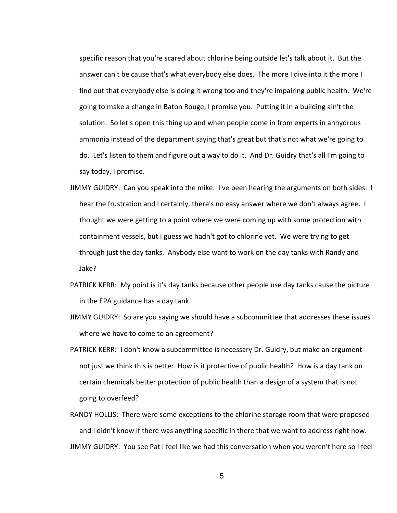specific reason that you're scared about chlorine being outside let's talk about it. But the answer can't be cause that's what everybody else does. The more I dive into it the more I find out that everybody else is doing it wrong too and they're impairing public health. We're going to make a change in Baton Rouge, I promise you. Putting it in a building ain't the solution. So let's open this thing up and when people come in from experts in anhydrous ammonia instead of the department saying that's great but that's not what we're going to do. Let's listen to them and figure out a way to do it. And Dr. Guidry that's all I'm going to say today, I promise.

- JIMMY GUIDRY: Can you speak into the mike. I've been hearing the arguments on both sides. I hear the frustration and I certainly, there's no easy answer where we don't always agree. I thought we were getting to a point where we were coming up with some protection with containment vessels, but I guess we hadn't got to chlorine yet. We were trying to get through just the day tanks. Anybody else want to work on the day tanks with Randy and Jake?
- PATRICK KERR: My point is it's day tanks because other people use day tanks cause the picture in the EPA guidance has a day tank.
- JIMMY GUIDRY: So are you saying we should have a subcommittee that addresses these issues where we have to come to an agreement?
- PATRICK KERR: I don't know a subcommittee is necessary Dr. Guidry, but make an argument not just we think this is better. How is it protective of public health? How is a day tank on certain chemicals better protection of public health than a design of a system that is not going to overfeed?
- RANDY HOLLIS: There were some exceptions to the chlorine storage room that were proposed and I didn't know if there was anything specific in there that we want to address right now. JIMMY GUIDRY: You see Pat I feel like we had this conversation when you weren't here so I feel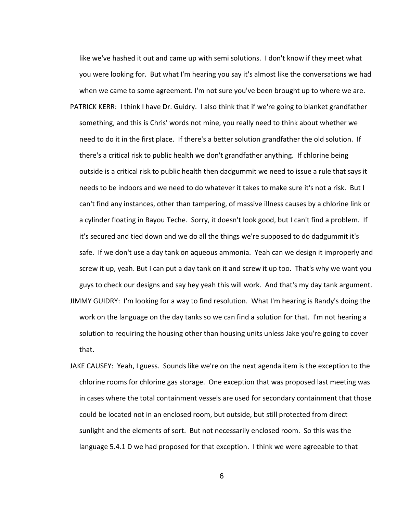like we've hashed it out and came up with semi solutions. I don't know if they meet what you were looking for. But what I'm hearing you say it's almost like the conversations we had when we came to some agreement. I'm not sure you've been brought up to where we are. PATRICK KERR: I think I have Dr. Guidry. I also think that if we're going to blanket grandfather something, and this is Chris' words not mine, you really need to think about whether we need to do it in the first place. If there's a better solution grandfather the old solution. If there's a critical risk to public health we don't grandfather anything. If chlorine being outside is a critical risk to public health then dadgummit we need to issue a rule that says it needs to be indoors and we need to do whatever it takes to make sure it's not a risk. But I can't find any instances, other than tampering, of massive illness causes by a chlorine link or a cylinder floating in Bayou Teche. Sorry, it doesn't look good, but I can't find a problem. If it's secured and tied down and we do all the things we're supposed to do dadgummit it's safe. If we don't use a day tank on aqueous ammonia. Yeah can we design it improperly and screw it up, yeah. But I can put a day tank on it and screw it up too. That's why we want you guys to check our designs and say hey yeah this will work. And that's my day tank argument. JIMMY GUIDRY: I'm looking for a way to find resolution. What I'm hearing is Randy's doing the work on the language on the day tanks so we can find a solution for that. I'm not hearing a solution to requiring the housing other than housing units unless Jake you're going to cover that.

JAKE CAUSEY: Yeah, I guess. Sounds like we're on the next agenda item is the exception to the chlorine rooms for chlorine gas storage. One exception that was proposed last meeting was in cases where the total containment vessels are used for secondary containment that those could be located not in an enclosed room, but outside, but still protected from direct sunlight and the elements of sort. But not necessarily enclosed room. So this was the language 5.4.1 D we had proposed for that exception. I think we were agreeable to that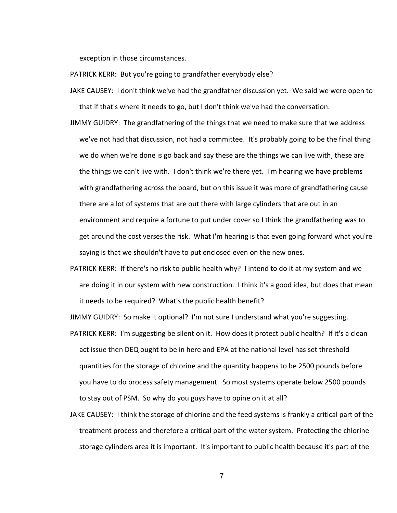exception in those circumstances.

- PATRICK KERR: But you're going to grandfather everybody else?
- JAKE CAUSEY: I don't think we've had the grandfather discussion yet. We said we were open to that if that's where it needs to go, but I don't think we've had the conversation.
- JIMMY GUIDRY: The grandfathering of the things that we need to make sure that we address we've not had that discussion, not had a committee. It's probably going to be the final thing we do when we're done is go back and say these are the things we can live with, these are the things we can't live with. I don't think we're there yet. I'm hearing we have problems with grandfathering across the board, but on this issue it was more of grandfathering cause there are a lot of systems that are out there with large cylinders that are out in an environment and require a fortune to put under cover so I think the grandfathering was to get around the cost verses the risk. What I'm hearing is that even going forward what you're saying is that we shouldn't have to put enclosed even on the new ones.
- PATRICK KERR: If there's no risk to public health why? I intend to do it at my system and we are doing it in our system with new construction. I think it's a good idea, but does that mean it needs to be required? What's the public health benefit?

JIMMY GUIDRY: So make it optional? I'm not sure I understand what you're suggesting.

- PATRICK KERR: I'm suggesting be silent on it. How does it protect public health? If it's a clean act issue then DEQ ought to be in here and EPA at the national level has set threshold quantities for the storage of chlorine and the quantity happens to be 2500 pounds before you have to do process safety management. So most systems operate below 2500 pounds to stay out of PSM. So why do you guys have to opine on it at all?
- JAKE CAUSEY: I think the storage of chlorine and the feed systems is frankly a critical part of the treatment process and therefore a critical part of the water system. Protecting the chlorine storage cylinders area it is important. It's important to public health because it's part of the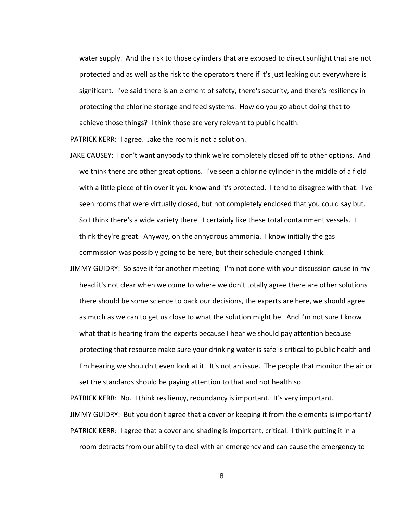water supply. And the risk to those cylinders that are exposed to direct sunlight that are not protected and as well as the risk to the operators there if it's just leaking out everywhere is significant. I've said there is an element of safety, there's security, and there's resiliency in protecting the chlorine storage and feed systems. How do you go about doing that to achieve those things? I think those are very relevant to public health.

PATRICK KERR: I agree. Jake the room is not a solution.

- JAKE CAUSEY: I don't want anybody to think we're completely closed off to other options. And we think there are other great options. I've seen a chlorine cylinder in the middle of a field with a little piece of tin over it you know and it's protected. I tend to disagree with that. I've seen rooms that were virtually closed, but not completely enclosed that you could say but. So I think there's a wide variety there. I certainly like these total containment vessels. I think they're great. Anyway, on the anhydrous ammonia. I know initially the gas commission was possibly going to be here, but their schedule changed I think.
- JIMMY GUIDRY: So save it for another meeting. I'm not done with your discussion cause in my head it's not clear when we come to where we don't totally agree there are other solutions there should be some science to back our decisions, the experts are here, we should agree as much as we can to get us close to what the solution might be. And I'm not sure I know what that is hearing from the experts because I hear we should pay attention because protecting that resource make sure your drinking water is safe is critical to public health and I'm hearing we shouldn't even look at it. It's not an issue. The people that monitor the air or set the standards should be paying attention to that and not health so.

PATRICK KERR: No. I think resiliency, redundancy is important. It's very important. JIMMY GUIDRY: But you don't agree that a cover or keeping it from the elements is important? PATRICK KERR: I agree that a cover and shading is important, critical. I think putting it in a room detracts from our ability to deal with an emergency and can cause the emergency to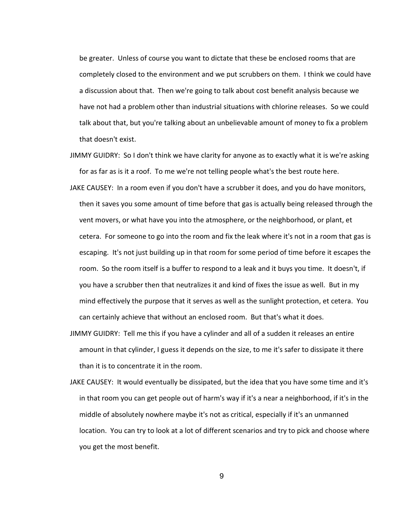be greater. Unless of course you want to dictate that these be enclosed rooms that are completely closed to the environment and we put scrubbers on them. I think we could have a discussion about that. Then we're going to talk about cost benefit analysis because we have not had a problem other than industrial situations with chlorine releases. So we could talk about that, but you're talking about an unbelievable amount of money to fix a problem that doesn't exist.

- JIMMY GUIDRY: So I don't think we have clarity for anyone as to exactly what it is we're asking for as far as is it a roof. To me we're not telling people what's the best route here.
- JAKE CAUSEY: In a room even if you don't have a scrubber it does, and you do have monitors, then it saves you some amount of time before that gas is actually being released through the vent movers, or what have you into the atmosphere, or the neighborhood, or plant, et cetera. For someone to go into the room and fix the leak where it's not in a room that gas is escaping. It's not just building up in that room for some period of time before it escapes the room. So the room itself is a buffer to respond to a leak and it buys you time. It doesn't, if you have a scrubber then that neutralizes it and kind of fixes the issue as well. But in my mind effectively the purpose that it serves as well as the sunlight protection, et cetera. You can certainly achieve that without an enclosed room. But that's what it does.
- JIMMY GUIDRY: Tell me this if you have a cylinder and all of a sudden it releases an entire amount in that cylinder, I guess it depends on the size, to me it's safer to dissipate it there than it is to concentrate it in the room.
- JAKE CAUSEY: It would eventually be dissipated, but the idea that you have some time and it's in that room you can get people out of harm's way if it's a near a neighborhood, if it's in the middle of absolutely nowhere maybe it's not as critical, especially if it's an unmanned location. You can try to look at a lot of different scenarios and try to pick and choose where you get the most benefit.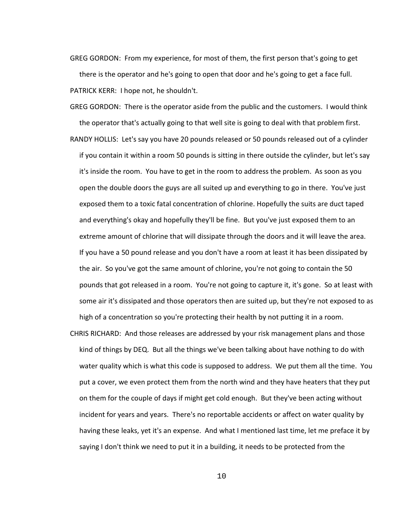GREG GORDON: From my experience, for most of them, the first person that's going to get there is the operator and he's going to open that door and he's going to get a face full. PATRICK KERR: I hope not, he shouldn't.

GREG GORDON: There is the operator aside from the public and the customers. I would think the operator that's actually going to that well site is going to deal with that problem first.

RANDY HOLLIS: Let's say you have 20 pounds released or 50 pounds released out of a cylinder if you contain it within a room 50 pounds is sitting in there outside the cylinder, but let's say it's inside the room. You have to get in the room to address the problem. As soon as you open the double doors the guys are all suited up and everything to go in there. You've just exposed them to a toxic fatal concentration of chlorine. Hopefully the suits are duct taped and everything's okay and hopefully they'll be fine. But you've just exposed them to an extreme amount of chlorine that will dissipate through the doors and it will leave the area. If you have a 50 pound release and you don't have a room at least it has been dissipated by the air. So you've got the same amount of chlorine, you're not going to contain the 50 pounds that got released in a room. You're not going to capture it, it's gone. So at least with some air it's dissipated and those operators then are suited up, but they're not exposed to as high of a concentration so you're protecting their health by not putting it in a room.

CHRIS RICHARD: And those releases are addressed by your risk management plans and those kind of things by DEQ. But all the things we've been talking about have nothing to do with water quality which is what this code is supposed to address. We put them all the time. You put a cover, we even protect them from the north wind and they have heaters that they put on them for the couple of days if might get cold enough. But they've been acting without incident for years and years. There's no reportable accidents or affect on water quality by having these leaks, yet it's an expense. And what I mentioned last time, let me preface it by saying I don't think we need to put it in a building, it needs to be protected from the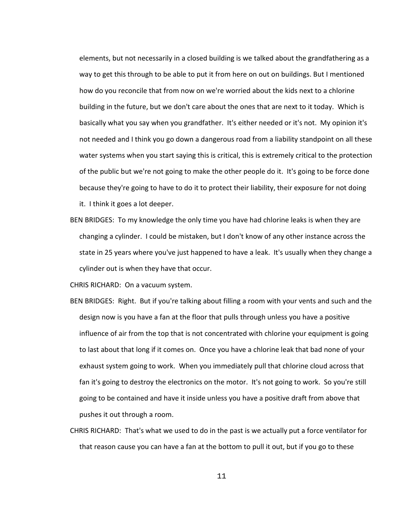elements, but not necessarily in a closed building is we talked about the grandfathering as a way to get this through to be able to put it from here on out on buildings. But I mentioned how do you reconcile that from now on we're worried about the kids next to a chlorine building in the future, but we don't care about the ones that are next to it today. Which is basically what you say when you grandfather. It's either needed or it's not. My opinion it's not needed and I think you go down a dangerous road from a liability standpoint on all these water systems when you start saying this is critical, this is extremely critical to the protection of the public but we're not going to make the other people do it. It's going to be force done because they're going to have to do it to protect their liability, their exposure for not doing it. I think it goes a lot deeper.

BEN BRIDGES: To my knowledge the only time you have had chlorine leaks is when they are changing a cylinder. I could be mistaken, but I don't know of any other instance across the state in 25 years where you've just happened to have a leak. It's usually when they change a cylinder out is when they have that occur.

CHRIS RICHARD: On a vacuum system.

- BEN BRIDGES: Right. But if you're talking about filling a room with your vents and such and the design now is you have a fan at the floor that pulls through unless you have a positive influence of air from the top that is not concentrated with chlorine your equipment is going to last about that long if it comes on. Once you have a chlorine leak that bad none of your exhaust system going to work. When you immediately pull that chlorine cloud across that fan it's going to destroy the electronics on the motor. It's not going to work. So you're still going to be contained and have it inside unless you have a positive draft from above that pushes it out through a room.
- CHRIS RICHARD: That's what we used to do in the past is we actually put a force ventilator for that reason cause you can have a fan at the bottom to pull it out, but if you go to these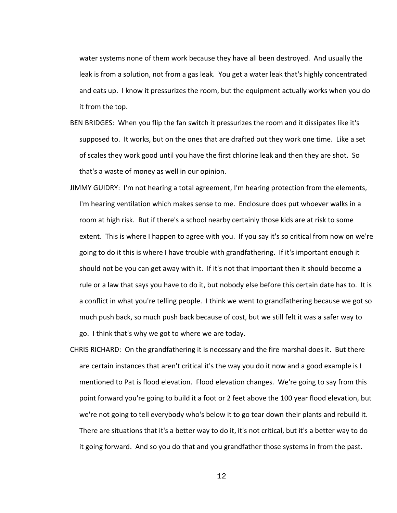water systems none of them work because they have all been destroyed. And usually the leak is from a solution, not from a gas leak. You get a water leak that's highly concentrated and eats up. I know it pressurizes the room, but the equipment actually works when you do it from the top.

- BEN BRIDGES: When you flip the fan switch it pressurizes the room and it dissipates like it's supposed to. It works, but on the ones that are drafted out they work one time. Like a set of scales they work good until you have the first chlorine leak and then they are shot. So that's a waste of money as well in our opinion.
- JIMMY GUIDRY: I'm not hearing a total agreement, I'm hearing protection from the elements, I'm hearing ventilation which makes sense to me. Enclosure does put whoever walks in a room at high risk. But if there's a school nearby certainly those kids are at risk to some extent. This is where I happen to agree with you. If you say it's so critical from now on we're going to do it this is where I have trouble with grandfathering. If it's important enough it should not be you can get away with it. If it's not that important then it should become a rule or a law that says you have to do it, but nobody else before this certain date has to. It is a conflict in what you're telling people. I think we went to grandfathering because we got so much push back, so much push back because of cost, but we still felt it was a safer way to go. I think that's why we got to where we are today.
- CHRIS RICHARD: On the grandfathering it is necessary and the fire marshal does it. But there are certain instances that aren't critical it's the way you do it now and a good example is I mentioned to Pat is flood elevation. Flood elevation changes. We're going to say from this point forward you're going to build it a foot or 2 feet above the 100 year flood elevation, but we're not going to tell everybody who's below it to go tear down their plants and rebuild it. There are situations that it's a better way to do it, it's not critical, but it's a better way to do it going forward. And so you do that and you grandfather those systems in from the past.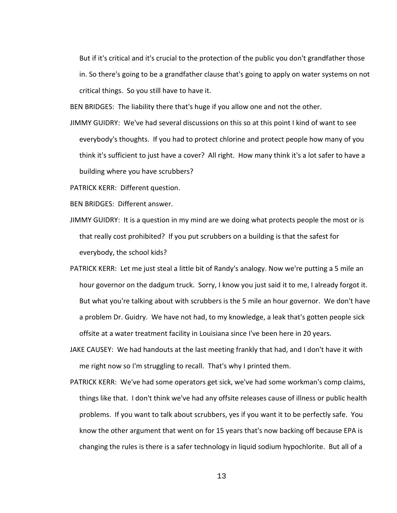But if it's critical and it's crucial to the protection of the public you don't grandfather those in. So there's going to be a grandfather clause that's going to apply on water systems on not critical things. So you still have to have it.

BEN BRIDGES: The liability there that's huge if you allow one and not the other.

JIMMY GUIDRY: We've had several discussions on this so at this point I kind of want to see everybody's thoughts. If you had to protect chlorine and protect people how many of you think it's sufficient to just have a cover? All right. How many think it's a lot safer to have a building where you have scrubbers?

PATRICK KERR: Different question.

BEN BRIDGES: Different answer.

- JIMMY GUIDRY: It is a question in my mind are we doing what protects people the most or is that really cost prohibited? If you put scrubbers on a building is that the safest for everybody, the school kids?
- PATRICK KERR: Let me just steal a little bit of Randy's analogy. Now we're putting a 5 mile an hour governor on the dadgum truck. Sorry, I know you just said it to me, I already forgot it. But what you're talking about with scrubbers is the 5 mile an hour governor. We don't have a problem Dr. Guidry. We have not had, to my knowledge, a leak that's gotten people sick offsite at a water treatment facility in Louisiana since I've been here in 20 years.
- JAKE CAUSEY: We had handouts at the last meeting frankly that had, and I don't have it with me right now so I'm struggling to recall. That's why I printed them.
- PATRICK KERR: We've had some operators get sick, we've had some workman's comp claims, things like that. I don't think we've had any offsite releases cause of illness or public health problems. If you want to talk about scrubbers, yes if you want it to be perfectly safe. You know the other argument that went on for 15 years that's now backing off because EPA is changing the rules is there is a safer technology in liquid sodium hypochlorite. But all of a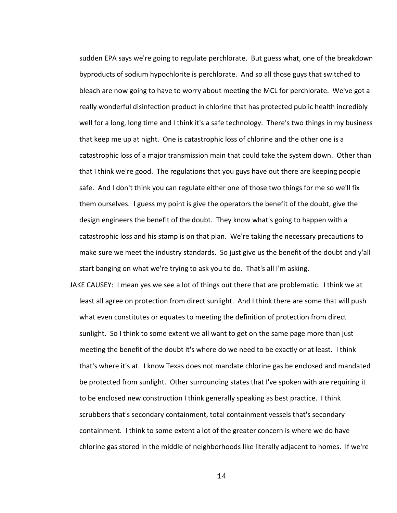sudden EPA says we're going to regulate perchlorate. But guess what, one of the breakdown byproducts of sodium hypochlorite is perchlorate. And so all those guys that switched to bleach are now going to have to worry about meeting the MCL for perchlorate. We've got a really wonderful disinfection product in chlorine that has protected public health incredibly well for a long, long time and I think it's a safe technology. There's two things in my business that keep me up at night. One is catastrophic loss of chlorine and the other one is a catastrophic loss of a major transmission main that could take the system down. Other than that I think we're good. The regulations that you guys have out there are keeping people safe. And I don't think you can regulate either one of those two things for me so we'll fix them ourselves. I guess my point is give the operators the benefit of the doubt, give the design engineers the benefit of the doubt. They know what's going to happen with a catastrophic loss and his stamp is on that plan. We're taking the necessary precautions to make sure we meet the industry standards. So just give us the benefit of the doubt and y'all start banging on what we're trying to ask you to do. That's all I'm asking.

JAKE CAUSEY: I mean yes we see a lot of things out there that are problematic. I think we at least all agree on protection from direct sunlight. And I think there are some that will push what even constitutes or equates to meeting the definition of protection from direct sunlight. So I think to some extent we all want to get on the same page more than just meeting the benefit of the doubt it's where do we need to be exactly or at least. I think that's where it's at. I know Texas does not mandate chlorine gas be enclosed and mandated be protected from sunlight. Other surrounding states that I've spoken with are requiring it to be enclosed new construction I think generally speaking as best practice. I think scrubbers that's secondary containment, total containment vessels that's secondary containment. I think to some extent a lot of the greater concern is where we do have chlorine gas stored in the middle of neighborhoods like literally adjacent to homes. If we're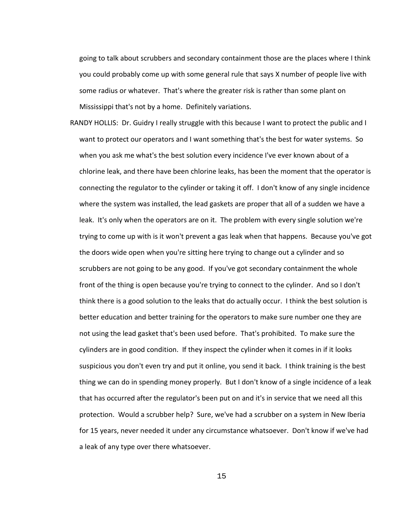going to talk about scrubbers and secondary containment those are the places where I think you could probably come up with some general rule that says X number of people live with some radius or whatever. That's where the greater risk is rather than some plant on Mississippi that's not by a home. Definitely variations.

RANDY HOLLIS: Dr. Guidry I really struggle with this because I want to protect the public and I want to protect our operators and I want something that's the best for water systems. So when you ask me what's the best solution every incidence I've ever known about of a chlorine leak, and there have been chlorine leaks, has been the moment that the operator is connecting the regulator to the cylinder or taking it off. I don't know of any single incidence where the system was installed, the lead gaskets are proper that all of a sudden we have a leak. It's only when the operators are on it. The problem with every single solution we're trying to come up with is it won't prevent a gas leak when that happens. Because you've got the doors wide open when you're sitting here trying to change out a cylinder and so scrubbers are not going to be any good. If you've got secondary containment the whole front of the thing is open because you're trying to connect to the cylinder. And so I don't think there is a good solution to the leaks that do actually occur. I think the best solution is better education and better training for the operators to make sure number one they are not using the lead gasket that's been used before. That's prohibited. To make sure the cylinders are in good condition. If they inspect the cylinder when it comes in if it looks suspicious you don't even try and put it online, you send it back. I think training is the best thing we can do in spending money properly. But I don't know of a single incidence of a leak that has occurred after the regulator's been put on and it's in service that we need all this protection. Would a scrubber help? Sure, we've had a scrubber on a system in New Iberia for 15 years, never needed it under any circumstance whatsoever. Don't know if we've had a leak of any type over there whatsoever.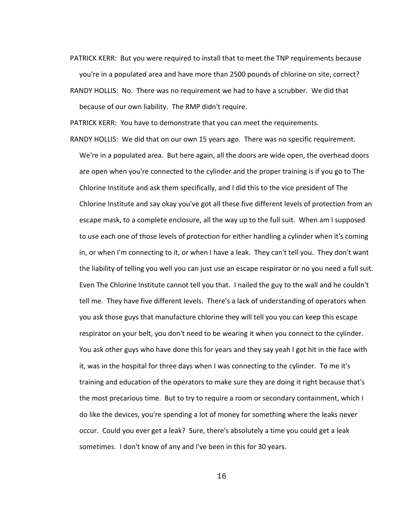- PATRICK KERR: But you were required to install that to meet the TNP requirements because you're in a populated area and have more than 2500 pounds of chlorine on site, correct?
- RANDY HOLLIS: No. There was no requirement we had to have a scrubber. We did that because of our own liability. The RMP didn't require.

PATRICK KERR: You have to demonstrate that you can meet the requirements.

RANDY HOLLIS: We did that on our own 15 years ago. There was no specific requirement. We're in a populated area. But here again, all the doors are wide open, the overhead doors are open when you're connected to the cylinder and the proper training is if you go to The Chlorine Institute and ask them specifically, and I did this to the vice president of The Chlorine Institute and say okay you've got all these five different levels of protection from an escape mask, to a complete enclosure, all the way up to the full suit. When am I supposed to use each one of those levels of protection for either handling a cylinder when it's coming in, or when I'm connecting to it, or when I have a leak. They can't tell you. They don't want the liability of telling you well you can just use an escape respirator or no you need a full suit. Even The Chlorine Institute cannot tell you that. I nailed the guy to the wall and he couldn't tell me. They have five different levels. There's a lack of understanding of operators when you ask those guys that manufacture chlorine they will tell you you can keep this escape respirator on your belt, you don't need to be wearing it when you connect to the cylinder. You ask other guys who have done this for years and they say yeah I got hit in the face with it, was in the hospital for three days when I was connecting to the cylinder. To me it's training and education of the operators to make sure they are doing it right because that's the most precarious time. But to try to require a room or secondary containment, which I do like the devices, you're spending a lot of money for something where the leaks never occur. Could you ever get a leak? Sure, there's absolutely a time you could get a leak sometimes. I don't know of any and I've been in this for 30 years.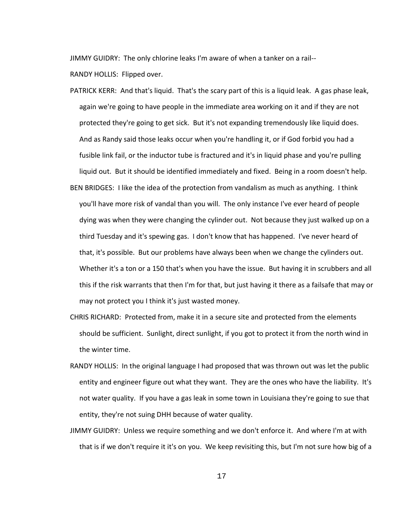JIMMY GUIDRY: The only chlorine leaks I'm aware of when a tanker on a rail-- RANDY HOLLIS: Flipped over.

- PATRICK KERR: And that's liquid. That's the scary part of this is a liquid leak. A gas phase leak, again we're going to have people in the immediate area working on it and if they are not protected they're going to get sick. But it's not expanding tremendously like liquid does. And as Randy said those leaks occur when you're handling it, or if God forbid you had a fusible link fail, or the inductor tube is fractured and it's in liquid phase and you're pulling liquid out. But it should be identified immediately and fixed. Being in a room doesn't help.
- BEN BRIDGES: I like the idea of the protection from vandalism as much as anything. I think you'll have more risk of vandal than you will. The only instance I've ever heard of people dying was when they were changing the cylinder out. Not because they just walked up on a third Tuesday and it's spewing gas. I don't know that has happened. I've never heard of that, it's possible. But our problems have always been when we change the cylinders out. Whether it's a ton or a 150 that's when you have the issue. But having it in scrubbers and all this if the risk warrants that then I'm for that, but just having it there as a failsafe that may or may not protect you I think it's just wasted money.
- CHRIS RICHARD: Protected from, make it in a secure site and protected from the elements should be sufficient. Sunlight, direct sunlight, if you got to protect it from the north wind in the winter time.
- RANDY HOLLIS: In the original language I had proposed that was thrown out was let the public entity and engineer figure out what they want. They are the ones who have the liability. It's not water quality. If you have a gas leak in some town in Louisiana they're going to sue that entity, they're not suing DHH because of water quality.
- JIMMY GUIDRY: Unless we require something and we don't enforce it. And where I'm at with that is if we don't require it it's on you. We keep revisiting this, but I'm not sure how big of a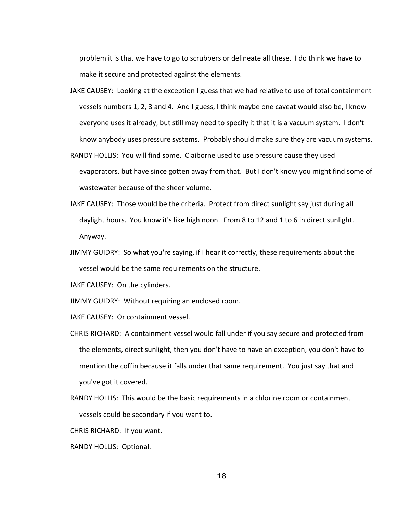problem it is that we have to go to scrubbers or delineate all these. I do think we have to make it secure and protected against the elements.

- JAKE CAUSEY: Looking at the exception I guess that we had relative to use of total containment vessels numbers 1, 2, 3 and 4. And I guess, I think maybe one caveat would also be, I know everyone uses it already, but still may need to specify it that it is a vacuum system. I don't know anybody uses pressure systems. Probably should make sure they are vacuum systems.
- RANDY HOLLIS: You will find some. Claiborne used to use pressure cause they used evaporators, but have since gotten away from that. But I don't know you might find some of wastewater because of the sheer volume.
- JAKE CAUSEY: Those would be the criteria. Protect from direct sunlight say just during all daylight hours. You know it's like high noon. From 8 to 12 and 1 to 6 in direct sunlight. Anyway.
- JIMMY GUIDRY: So what you're saying, if I hear it correctly, these requirements about the vessel would be the same requirements on the structure.

JAKE CAUSEY: On the cylinders.

JIMMY GUIDRY: Without requiring an enclosed room.

JAKE CAUSEY: Or containment vessel.

- CHRIS RICHARD: A containment vessel would fall under if you say secure and protected from the elements, direct sunlight, then you don't have to have an exception, you don't have to mention the coffin because it falls under that same requirement. You just say that and you've got it covered.
- RANDY HOLLIS: This would be the basic requirements in a chlorine room or containment vessels could be secondary if you want to.

CHRIS RICHARD: If you want.

RANDY HOLLIS: Optional.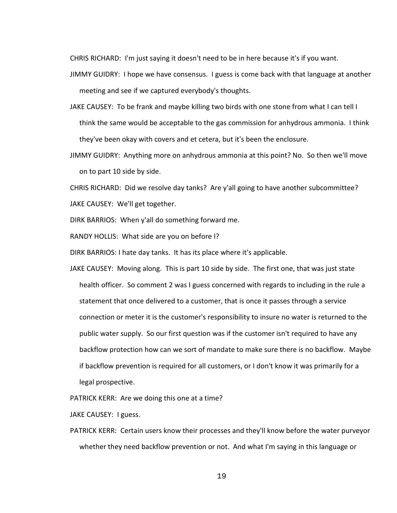CHRIS RICHARD: I'm just saying it doesn't need to be in here because it's if you want.

- JIMMY GUIDRY: I hope we have consensus. I guess is come back with that language at another meeting and see if we captured everybody's thoughts.
- JAKE CAUSEY: To be frank and maybe killing two birds with one stone from what I can tell I think the same would be acceptable to the gas commission for anhydrous ammonia. I think they've been okay with covers and et cetera, but it's been the enclosure.
- JIMMY GUIDRY: Anything more on anhydrous ammonia at this point? No. So then we'll move on to part 10 side by side.

CHRIS RICHARD: Did we resolve day tanks? Are y'all going to have another subcommittee? JAKE CAUSEY: We'll get together.

DIRK BARRIOS: When y'all do something forward me.

RANDY HOLLIS: What side are you on before I?

DIRK BARRIOS: I hate day tanks. It has its place where it's applicable.

JAKE CAUSEY: Moving along. This is part 10 side by side. The first one, that was just state health officer. So comment 2 was I guess concerned with regards to including in the rule a statement that once delivered to a customer, that is once it passes through a service connection or meter it is the customer's responsibility to insure no water is returned to the public water supply. So our first question was if the customer isn't required to have any backflow protection how can we sort of mandate to make sure there is no backflow. Maybe if backflow prevention is required for all customers, or I don't know it was primarily for a legal prospective.

PATRICK KERR: Are we doing this one at a time?

JAKE CAUSEY: I guess.

PATRICK KERR: Certain users know their processes and they'll know before the water purveyor whether they need backflow prevention or not. And what I'm saying in this language or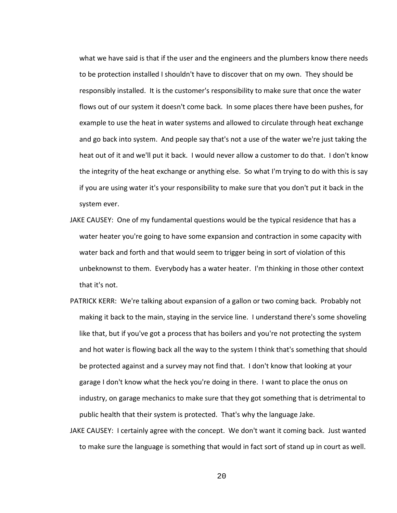what we have said is that if the user and the engineers and the plumbers know there needs to be protection installed I shouldn't have to discover that on my own. They should be responsibly installed. It is the customer's responsibility to make sure that once the water flows out of our system it doesn't come back. In some places there have been pushes, for example to use the heat in water systems and allowed to circulate through heat exchange and go back into system. And people say that's not a use of the water we're just taking the heat out of it and we'll put it back. I would never allow a customer to do that. I don't know the integrity of the heat exchange or anything else. So what I'm trying to do with this is say if you are using water it's your responsibility to make sure that you don't put it back in the system ever.

- JAKE CAUSEY: One of my fundamental questions would be the typical residence that has a water heater you're going to have some expansion and contraction in some capacity with water back and forth and that would seem to trigger being in sort of violation of this unbeknownst to them. Everybody has a water heater. I'm thinking in those other context that it's not.
- PATRICK KERR: We're talking about expansion of a gallon or two coming back. Probably not making it back to the main, staying in the service line. I understand there's some shoveling like that, but if you've got a process that has boilers and you're not protecting the system and hot water is flowing back all the way to the system I think that's something that should be protected against and a survey may not find that. I don't know that looking at your garage I don't know what the heck you're doing in there. I want to place the onus on industry, on garage mechanics to make sure that they got something that is detrimental to public health that their system is protected. That's why the language Jake.
- JAKE CAUSEY: I certainly agree with the concept. We don't want it coming back. Just wanted to make sure the language is something that would in fact sort of stand up in court as well.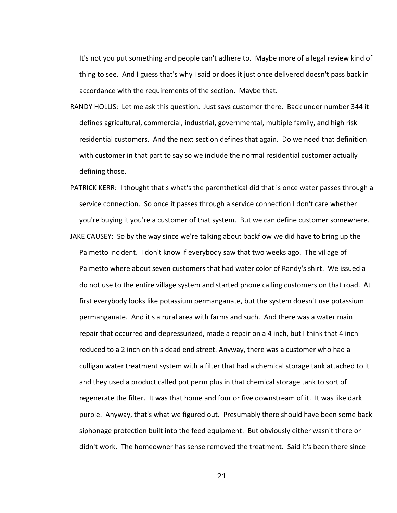It's not you put something and people can't adhere to. Maybe more of a legal review kind of thing to see. And I guess that's why I said or does it just once delivered doesn't pass back in accordance with the requirements of the section. Maybe that.

- RANDY HOLLIS: Let me ask this question. Just says customer there. Back under number 344 it defines agricultural, commercial, industrial, governmental, multiple family, and high risk residential customers. And the next section defines that again. Do we need that definition with customer in that part to say so we include the normal residential customer actually defining those.
- PATRICK KERR: I thought that's what's the parenthetical did that is once water passes through a service connection. So once it passes through a service connection I don't care whether you're buying it you're a customer of that system. But we can define customer somewhere.
- JAKE CAUSEY: So by the way since we're talking about backflow we did have to bring up the Palmetto incident. I don't know if everybody saw that two weeks ago. The village of Palmetto where about seven customers that had water color of Randy's shirt. We issued a do not use to the entire village system and started phone calling customers on that road. At first everybody looks like potassium permanganate, but the system doesn't use potassium permanganate. And it's a rural area with farms and such. And there was a water main repair that occurred and depressurized, made a repair on a 4 inch, but I think that 4 inch reduced to a 2 inch on this dead end street. Anyway, there was a customer who had a culligan water treatment system with a filter that had a chemical storage tank attached to it and they used a product called pot perm plus in that chemical storage tank to sort of regenerate the filter. It was that home and four or five downstream of it. It was like dark purple. Anyway, that's what we figured out. Presumably there should have been some back siphonage protection built into the feed equipment. But obviously either wasn't there or didn't work. The homeowner has sense removed the treatment. Said it's been there since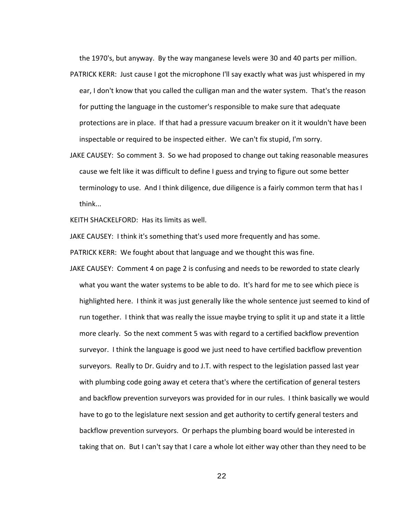the 1970's, but anyway. By the way manganese levels were 30 and 40 parts per million.

- PATRICK KERR: Just cause I got the microphone I'll say exactly what was just whispered in my ear, I don't know that you called the culligan man and the water system. That's the reason for putting the language in the customer's responsible to make sure that adequate protections are in place. If that had a pressure vacuum breaker on it it wouldn't have been inspectable or required to be inspected either. We can't fix stupid, I'm sorry.
- JAKE CAUSEY: So comment 3. So we had proposed to change out taking reasonable measures cause we felt like it was difficult to define I guess and trying to figure out some better terminology to use. And I think diligence, due diligence is a fairly common term that has I think...

KEITH SHACKELFORD: Has its limits as well.

JAKE CAUSEY: I think it's something that's used more frequently and has some.

PATRICK KERR: We fought about that language and we thought this was fine.

JAKE CAUSEY: Comment 4 on page 2 is confusing and needs to be reworded to state clearly what you want the water systems to be able to do. It's hard for me to see which piece is highlighted here. I think it was just generally like the whole sentence just seemed to kind of run together. I think that was really the issue maybe trying to split it up and state it a little more clearly. So the next comment 5 was with regard to a certified backflow prevention surveyor. I think the language is good we just need to have certified backflow prevention surveyors. Really to Dr. Guidry and to J.T. with respect to the legislation passed last year with plumbing code going away et cetera that's where the certification of general testers and backflow prevention surveyors was provided for in our rules. I think basically we would have to go to the legislature next session and get authority to certify general testers and backflow prevention surveyors. Or perhaps the plumbing board would be interested in taking that on. But I can't say that I care a whole lot either way other than they need to be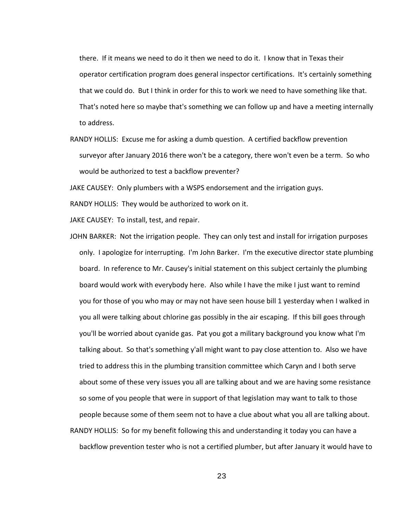there. If it means we need to do it then we need to do it. I know that in Texas their operator certification program does general inspector certifications. It's certainly something that we could do. But I think in order for this to work we need to have something like that. That's noted here so maybe that's something we can follow up and have a meeting internally to address.

RANDY HOLLIS: Excuse me for asking a dumb question. A certified backflow prevention surveyor after January 2016 there won't be a category, there won't even be a term. So who would be authorized to test a backflow preventer?

JAKE CAUSEY: Only plumbers with a WSPS endorsement and the irrigation guys.

RANDY HOLLIS: They would be authorized to work on it.

JAKE CAUSEY: To install, test, and repair.

JOHN BARKER: Not the irrigation people. They can only test and install for irrigation purposes only. I apologize for interrupting. I'm John Barker. I'm the executive director state plumbing board. In reference to Mr. Causey's initial statement on this subject certainly the plumbing board would work with everybody here. Also while I have the mike I just want to remind you for those of you who may or may not have seen house bill 1 yesterday when I walked in you all were talking about chlorine gas possibly in the air escaping. If this bill goes through you'll be worried about cyanide gas. Pat you got a military background you know what I'm talking about. So that's something y'all might want to pay close attention to. Also we have tried to address this in the plumbing transition committee which Caryn and I both serve about some of these very issues you all are talking about and we are having some resistance so some of you people that were in support of that legislation may want to talk to those people because some of them seem not to have a clue about what you all are talking about. RANDY HOLLIS: So for my benefit following this and understanding it today you can have a backflow prevention tester who is not a certified plumber, but after January it would have to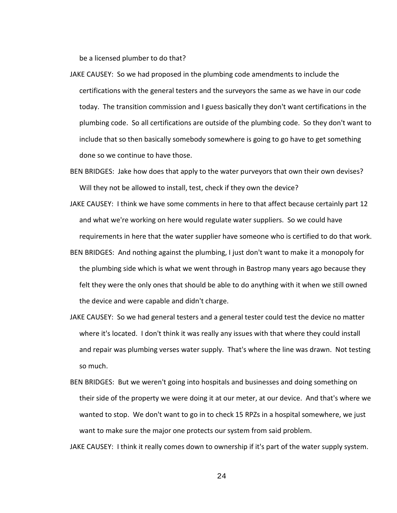be a licensed plumber to do that?

- JAKE CAUSEY: So we had proposed in the plumbing code amendments to include the certifications with the general testers and the surveyors the same as we have in our code today. The transition commission and I guess basically they don't want certifications in the plumbing code. So all certifications are outside of the plumbing code. So they don't want to include that so then basically somebody somewhere is going to go have to get something done so we continue to have those.
- BEN BRIDGES: Jake how does that apply to the water purveyors that own their own devises? Will they not be allowed to install, test, check if they own the device?
- JAKE CAUSEY: I think we have some comments in here to that affect because certainly part 12 and what we're working on here would regulate water suppliers. So we could have requirements in here that the water supplier have someone who is certified to do that work.
- BEN BRIDGES: And nothing against the plumbing, I just don't want to make it a monopoly for the plumbing side which is what we went through in Bastrop many years ago because they felt they were the only ones that should be able to do anything with it when we still owned the device and were capable and didn't charge.
- JAKE CAUSEY: So we had general testers and a general tester could test the device no matter where it's located. I don't think it was really any issues with that where they could install and repair was plumbing verses water supply. That's where the line was drawn. Not testing so much.
- BEN BRIDGES: But we weren't going into hospitals and businesses and doing something on their side of the property we were doing it at our meter, at our device. And that's where we wanted to stop. We don't want to go in to check 15 RPZs in a hospital somewhere, we just want to make sure the major one protects our system from said problem.

JAKE CAUSEY: I think it really comes down to ownership if it's part of the water supply system.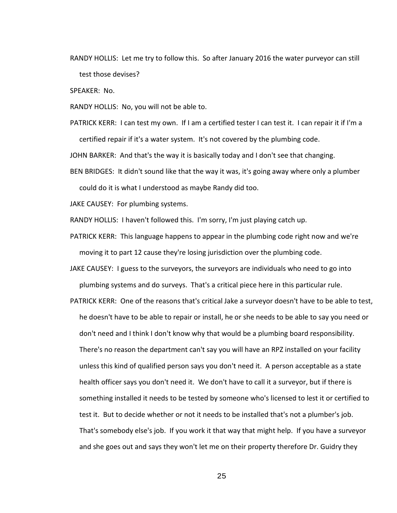RANDY HOLLIS: Let me try to follow this. So after January 2016 the water purveyor can still test those devises?

SPEAKER: No.

RANDY HOLLIS: No, you will not be able to.

PATRICK KERR: I can test my own. If I am a certified tester I can test it. I can repair it if I'm a certified repair if it's a water system. It's not covered by the plumbing code.

JOHN BARKER: And that's the way it is basically today and I don't see that changing.

BEN BRIDGES: It didn't sound like that the way it was, it's going away where only a plumber could do it is what I understood as maybe Randy did too.

JAKE CAUSEY: For plumbing systems.

RANDY HOLLIS: I haven't followed this. I'm sorry, I'm just playing catch up.

PATRICK KERR: This language happens to appear in the plumbing code right now and we're moving it to part 12 cause they're losing jurisdiction over the plumbing code.

JAKE CAUSEY: I guess to the surveyors, the surveyors are individuals who need to go into plumbing systems and do surveys. That's a critical piece here in this particular rule.

PATRICK KERR: One of the reasons that's critical Jake a surveyor doesn't have to be able to test, he doesn't have to be able to repair or install, he or she needs to be able to say you need or don't need and I think I don't know why that would be a plumbing board responsibility. There's no reason the department can't say you will have an RPZ installed on your facility unless this kind of qualified person says you don't need it. A person acceptable as a state health officer says you don't need it. We don't have to call it a surveyor, but if there is something installed it needs to be tested by someone who's licensed to lest it or certified to test it. But to decide whether or not it needs to be installed that's not a plumber's job. That's somebody else's job. If you work it that way that might help. If you have a surveyor and she goes out and says they won't let me on their property therefore Dr. Guidry they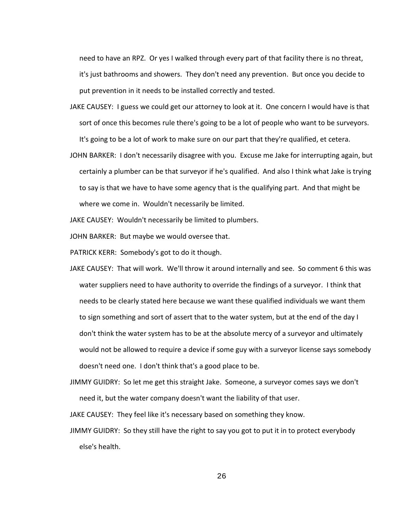need to have an RPZ. Or yes I walked through every part of that facility there is no threat, it's just bathrooms and showers. They don't need any prevention. But once you decide to put prevention in it needs to be installed correctly and tested.

- JAKE CAUSEY: I guess we could get our attorney to look at it. One concern I would have is that sort of once this becomes rule there's going to be a lot of people who want to be surveyors. It's going to be a lot of work to make sure on our part that they're qualified, et cetera.
- JOHN BARKER: I don't necessarily disagree with you. Excuse me Jake for interrupting again, but certainly a plumber can be that surveyor if he's qualified. And also I think what Jake is trying to say is that we have to have some agency that is the qualifying part. And that might be where we come in. Wouldn't necessarily be limited.

JAKE CAUSEY: Wouldn't necessarily be limited to plumbers.

JOHN BARKER: But maybe we would oversee that.

PATRICK KERR: Somebody's got to do it though.

JAKE CAUSEY: That will work. We'll throw it around internally and see. So comment 6 this was water suppliers need to have authority to override the findings of a surveyor. I think that needs to be clearly stated here because we want these qualified individuals we want them to sign something and sort of assert that to the water system, but at the end of the day I don't think the water system has to be at the absolute mercy of a surveyor and ultimately would not be allowed to require a device if some guy with a surveyor license says somebody doesn't need one. I don't think that's a good place to be.

JIMMY GUIDRY: So let me get this straight Jake. Someone, a surveyor comes says we don't need it, but the water company doesn't want the liability of that user.

JAKE CAUSEY: They feel like it's necessary based on something they know.

JIMMY GUIDRY: So they still have the right to say you got to put it in to protect everybody else's health.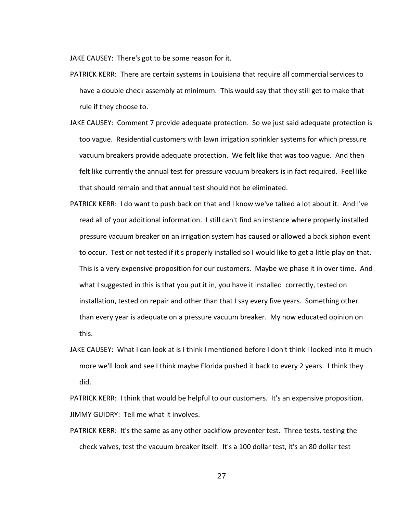JAKE CAUSEY: There's got to be some reason for it.

- PATRICK KERR: There are certain systems in Louisiana that require all commercial services to have a double check assembly at minimum. This would say that they still get to make that rule if they choose to.
- JAKE CAUSEY: Comment 7 provide adequate protection. So we just said adequate protection is too vague. Residential customers with lawn irrigation sprinkler systems for which pressure vacuum breakers provide adequate protection. We felt like that was too vague. And then felt like currently the annual test for pressure vacuum breakers is in fact required. Feel like that should remain and that annual test should not be eliminated.
- PATRICK KERR: I do want to push back on that and I know we've talked a lot about it. And I've read all of your additional information. I still can't find an instance where properly installed pressure vacuum breaker on an irrigation system has caused or allowed a back siphon event to occur. Test or not tested if it's properly installed so I would like to get a little play on that. This is a very expensive proposition for our customers. Maybe we phase it in over time. And what I suggested in this is that you put it in, you have it installed correctly, tested on installation, tested on repair and other than that I say every five years. Something other than every year is adequate on a pressure vacuum breaker. My now educated opinion on this.
- JAKE CAUSEY: What I can look at is I think I mentioned before I don't think I looked into it much more we'll look and see I think maybe Florida pushed it back to every 2 years. I think they did.

PATRICK KERR: I think that would be helpful to our customers. It's an expensive proposition. JIMMY GUIDRY: Tell me what it involves.

PATRICK KERR: It's the same as any other backflow preventer test. Three tests, testing the check valves, test the vacuum breaker itself. It's a 100 dollar test, it's an 80 dollar test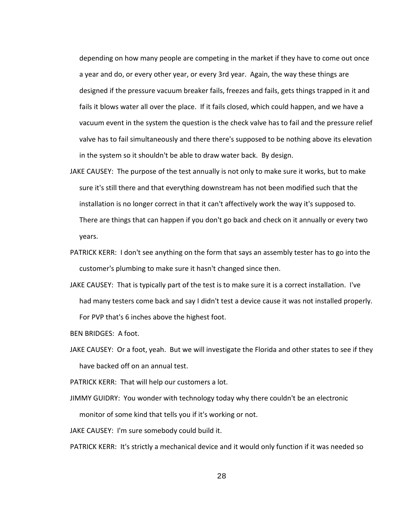depending on how many people are competing in the market if they have to come out once a year and do, or every other year, or every 3rd year. Again, the way these things are designed if the pressure vacuum breaker fails, freezes and fails, gets things trapped in it and fails it blows water all over the place. If it fails closed, which could happen, and we have a vacuum event in the system the question is the check valve has to fail and the pressure relief valve has to fail simultaneously and there there's supposed to be nothing above its elevation in the system so it shouldn't be able to draw water back. By design.

- JAKE CAUSEY: The purpose of the test annually is not only to make sure it works, but to make sure it's still there and that everything downstream has not been modified such that the installation is no longer correct in that it can't affectively work the way it's supposed to. There are things that can happen if you don't go back and check on it annually or every two years.
- PATRICK KERR: I don't see anything on the form that says an assembly tester has to go into the customer's plumbing to make sure it hasn't changed since then.
- JAKE CAUSEY: That is typically part of the test is to make sure it is a correct installation. I've had many testers come back and say I didn't test a device cause it was not installed properly. For PVP that's 6 inches above the highest foot.
- BEN BRIDGES: A foot.
- JAKE CAUSEY: Or a foot, yeah. But we will investigate the Florida and other states to see if they have backed off on an annual test.
- PATRICK KERR: That will help our customers a lot.
- JIMMY GUIDRY: You wonder with technology today why there couldn't be an electronic monitor of some kind that tells you if it's working or not.

JAKE CAUSEY: I'm sure somebody could build it.

PATRICK KERR: It's strictly a mechanical device and it would only function if it was needed so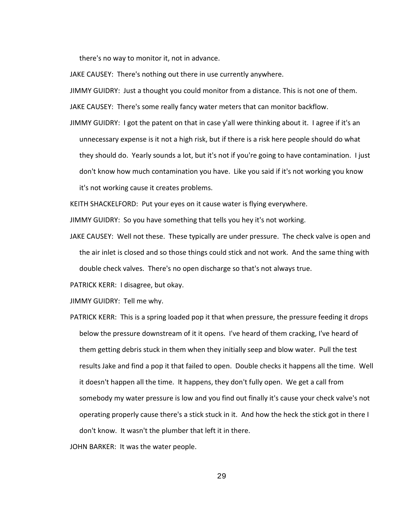there's no way to monitor it, not in advance.

JAKE CAUSEY: There's nothing out there in use currently anywhere.

JIMMY GUIDRY: Just a thought you could monitor from a distance. This is not one of them.

JAKE CAUSEY: There's some really fancy water meters that can monitor backflow.

JIMMY GUIDRY: I got the patent on that in case y'all were thinking about it. I agree if it's an unnecessary expense is it not a high risk, but if there is a risk here people should do what they should do. Yearly sounds a lot, but it's not if you're going to have contamination. I just don't know how much contamination you have. Like you said if it's not working you know it's not working cause it creates problems.

KEITH SHACKELFORD: Put your eyes on it cause water is flying everywhere.

JIMMY GUIDRY: So you have something that tells you hey it's not working.

JAKE CAUSEY: Well not these. These typically are under pressure. The check valve is open and the air inlet is closed and so those things could stick and not work. And the same thing with double check valves. There's no open discharge so that's not always true.

PATRICK KERR: I disagree, but okay.

JIMMY GUIDRY: Tell me why.

PATRICK KERR: This is a spring loaded pop it that when pressure, the pressure feeding it drops below the pressure downstream of it it opens. I've heard of them cracking, I've heard of them getting debris stuck in them when they initially seep and blow water. Pull the test results Jake and find a pop it that failed to open. Double checks it happens all the time. Well it doesn't happen all the time. It happens, they don't fully open. We get a call from somebody my water pressure is low and you find out finally it's cause your check valve's not operating properly cause there's a stick stuck in it. And how the heck the stick got in there I don't know. It wasn't the plumber that left it in there.

JOHN BARKER: It was the water people.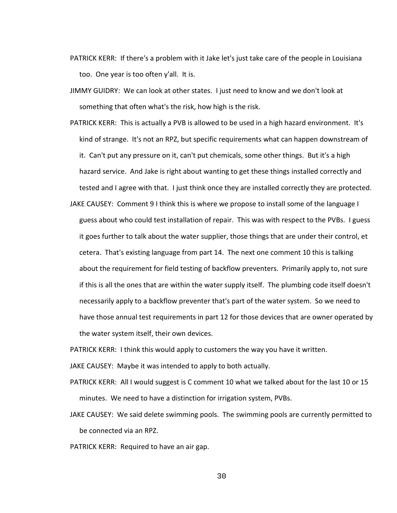- PATRICK KERR: If there's a problem with it Jake let's just take care of the people in Louisiana too. One year is too often y'all. It is.
- JIMMY GUIDRY: We can look at other states. I just need to know and we don't look at something that often what's the risk, how high is the risk.
- PATRICK KERR: This is actually a PVB is allowed to be used in a high hazard environment. It's kind of strange. It's not an RPZ, but specific requirements what can happen downstream of it. Can't put any pressure on it, can't put chemicals, some other things. But it's a high hazard service. And Jake is right about wanting to get these things installed correctly and tested and I agree with that. I just think once they are installed correctly they are protected.
- JAKE CAUSEY: Comment 9 I think this is where we propose to install some of the language I guess about who could test installation of repair. This was with respect to the PVBs. I guess it goes further to talk about the water supplier, those things that are under their control, et cetera. That's existing language from part 14. The next one comment 10 this is talking about the requirement for field testing of backflow preventers. Primarily apply to, not sure if this is all the ones that are within the water supply itself. The plumbing code itself doesn't necessarily apply to a backflow preventer that's part of the water system. So we need to have those annual test requirements in part 12 for those devices that are owner operated by the water system itself, their own devices.

PATRICK KERR: I think this would apply to customers the way you have it written.

JAKE CAUSEY: Maybe it was intended to apply to both actually.

- PATRICK KERR: All I would suggest is C comment 10 what we talked about for the last 10 or 15 minutes. We need to have a distinction for irrigation system, PVBs.
- JAKE CAUSEY: We said delete swimming pools. The swimming pools are currently permitted to be connected via an RPZ.
- PATRICK KERR: Required to have an air gap.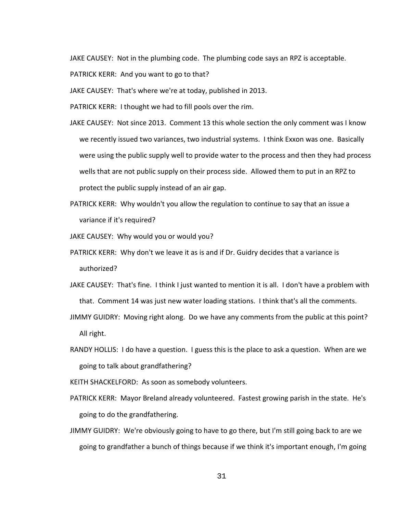JAKE CAUSEY: Not in the plumbing code. The plumbing code says an RPZ is acceptable.

PATRICK KERR: And you want to go to that?

JAKE CAUSEY: That's where we're at today, published in 2013.

PATRICK KERR: I thought we had to fill pools over the rim.

- JAKE CAUSEY: Not since 2013. Comment 13 this whole section the only comment was I know we recently issued two variances, two industrial systems. I think Exxon was one. Basically were using the public supply well to provide water to the process and then they had process wells that are not public supply on their process side. Allowed them to put in an RPZ to protect the public supply instead of an air gap.
- PATRICK KERR: Why wouldn't you allow the regulation to continue to say that an issue a variance if it's required?

JAKE CAUSEY: Why would you or would you?

- PATRICK KERR: Why don't we leave it as is and if Dr. Guidry decides that a variance is authorized?
- JAKE CAUSEY: That's fine. I think I just wanted to mention it is all. I don't have a problem with that. Comment 14 was just new water loading stations. I think that's all the comments.
- JIMMY GUIDRY: Moving right along. Do we have any comments from the public at this point? All right.
- RANDY HOLLIS: I do have a question. I guess this is the place to ask a question. When are we going to talk about grandfathering?

KEITH SHACKELFORD: As soon as somebody volunteers.

- PATRICK KERR: Mayor Breland already volunteered. Fastest growing parish in the state. He's going to do the grandfathering.
- JIMMY GUIDRY: We're obviously going to have to go there, but I'm still going back to are we going to grandfather a bunch of things because if we think it's important enough, I'm going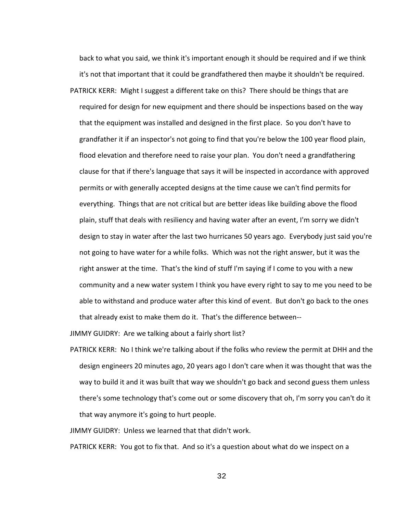back to what you said, we think it's important enough it should be required and if we think it's not that important that it could be grandfathered then maybe it shouldn't be required. PATRICK KERR: Might I suggest a different take on this? There should be things that are required for design for new equipment and there should be inspections based on the way that the equipment was installed and designed in the first place. So you don't have to grandfather it if an inspector's not going to find that you're below the 100 year flood plain, flood elevation and therefore need to raise your plan. You don't need a grandfathering clause for that if there's language that says it will be inspected in accordance with approved permits or with generally accepted designs at the time cause we can't find permits for everything. Things that are not critical but are better ideas like building above the flood plain, stuff that deals with resiliency and having water after an event, I'm sorry we didn't design to stay in water after the last two hurricanes 50 years ago. Everybody just said you're not going to have water for a while folks. Which was not the right answer, but it was the right answer at the time. That's the kind of stuff I'm saying if I come to you with a new community and a new water system I think you have every right to say to me you need to be able to withstand and produce water after this kind of event. But don't go back to the ones that already exist to make them do it. That's the difference between--

JIMMY GUIDRY: Are we talking about a fairly short list?

PATRICK KERR: No I think we're talking about if the folks who review the permit at DHH and the design engineers 20 minutes ago, 20 years ago I don't care when it was thought that was the way to build it and it was built that way we shouldn't go back and second guess them unless there's some technology that's come out or some discovery that oh, I'm sorry you can't do it that way anymore it's going to hurt people.

JIMMY GUIDRY: Unless we learned that that didn't work.

PATRICK KERR: You got to fix that. And so it's a question about what do we inspect on a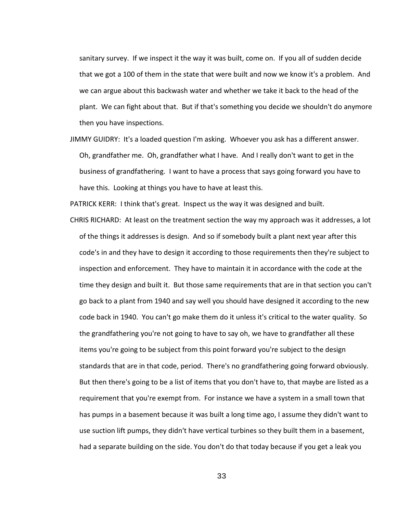sanitary survey. If we inspect it the way it was built, come on. If you all of sudden decide that we got a 100 of them in the state that were built and now we know it's a problem. And we can argue about this backwash water and whether we take it back to the head of the plant. We can fight about that. But if that's something you decide we shouldn't do anymore then you have inspections.

JIMMY GUIDRY: It's a loaded question I'm asking. Whoever you ask has a different answer. Oh, grandfather me. Oh, grandfather what I have. And I really don't want to get in the business of grandfathering. I want to have a process that says going forward you have to have this. Looking at things you have to have at least this.

PATRICK KERR: I think that's great. Inspect us the way it was designed and built.

CHRIS RICHARD: At least on the treatment section the way my approach was it addresses, a lot of the things it addresses is design. And so if somebody built a plant next year after this code's in and they have to design it according to those requirements then they're subject to inspection and enforcement. They have to maintain it in accordance with the code at the time they design and built it. But those same requirements that are in that section you can't go back to a plant from 1940 and say well you should have designed it according to the new code back in 1940. You can't go make them do it unless it's critical to the water quality. So the grandfathering you're not going to have to say oh, we have to grandfather all these items you're going to be subject from this point forward you're subject to the design standards that are in that code, period. There's no grandfathering going forward obviously. But then there's going to be a list of items that you don't have to, that maybe are listed as a requirement that you're exempt from. For instance we have a system in a small town that has pumps in a basement because it was built a long time ago, I assume they didn't want to use suction lift pumps, they didn't have vertical turbines so they built them in a basement, had a separate building on the side. You don't do that today because if you get a leak you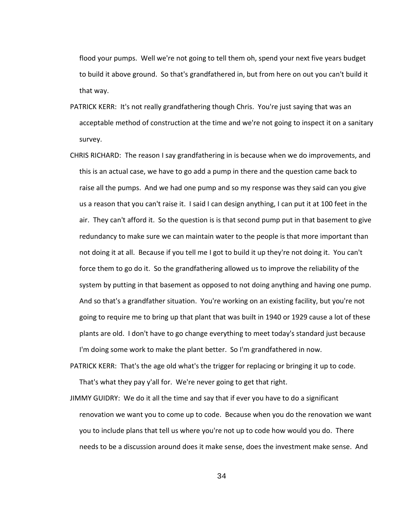flood your pumps. Well we're not going to tell them oh, spend your next five years budget to build it above ground. So that's grandfathered in, but from here on out you can't build it that way.

- PATRICK KERR: It's not really grandfathering though Chris. You're just saying that was an acceptable method of construction at the time and we're not going to inspect it on a sanitary survey.
- CHRIS RICHARD: The reason I say grandfathering in is because when we do improvements, and this is an actual case, we have to go add a pump in there and the question came back to raise all the pumps. And we had one pump and so my response was they said can you give us a reason that you can't raise it. I said I can design anything, I can put it at 100 feet in the air. They can't afford it. So the question is is that second pump put in that basement to give redundancy to make sure we can maintain water to the people is that more important than not doing it at all. Because if you tell me I got to build it up they're not doing it. You can't force them to go do it. So the grandfathering allowed us to improve the reliability of the system by putting in that basement as opposed to not doing anything and having one pump. And so that's a grandfather situation. You're working on an existing facility, but you're not going to require me to bring up that plant that was built in 1940 or 1929 cause a lot of these plants are old. I don't have to go change everything to meet today's standard just because I'm doing some work to make the plant better. So I'm grandfathered in now.

PATRICK KERR: That's the age old what's the trigger for replacing or bringing it up to code. That's what they pay y'all for. We're never going to get that right.

JIMMY GUIDRY: We do it all the time and say that if ever you have to do a significant renovation we want you to come up to code. Because when you do the renovation we want you to include plans that tell us where you're not up to code how would you do. There needs to be a discussion around does it make sense, does the investment make sense. And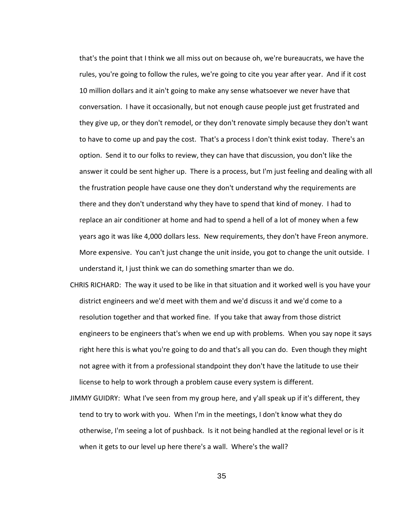that's the point that I think we all miss out on because oh, we're bureaucrats, we have the rules, you're going to follow the rules, we're going to cite you year after year. And if it cost 10 million dollars and it ain't going to make any sense whatsoever we never have that conversation. I have it occasionally, but not enough cause people just get frustrated and they give up, or they don't remodel, or they don't renovate simply because they don't want to have to come up and pay the cost. That's a process I don't think exist today. There's an option. Send it to our folks to review, they can have that discussion, you don't like the answer it could be sent higher up. There is a process, but I'm just feeling and dealing with all the frustration people have cause one they don't understand why the requirements are there and they don't understand why they have to spend that kind of money. I had to replace an air conditioner at home and had to spend a hell of a lot of money when a few years ago it was like 4,000 dollars less. New requirements, they don't have Freon anymore. More expensive. You can't just change the unit inside, you got to change the unit outside. I understand it, I just think we can do something smarter than we do.

- CHRIS RICHARD: The way it used to be like in that situation and it worked well is you have your district engineers and we'd meet with them and we'd discuss it and we'd come to a resolution together and that worked fine. If you take that away from those district engineers to be engineers that's when we end up with problems. When you say nope it says right here this is what you're going to do and that's all you can do. Even though they might not agree with it from a professional standpoint they don't have the latitude to use their license to help to work through a problem cause every system is different.
- JIMMY GUIDRY: What I've seen from my group here, and y'all speak up if it's different, they tend to try to work with you. When I'm in the meetings, I don't know what they do otherwise, I'm seeing a lot of pushback. Is it not being handled at the regional level or is it when it gets to our level up here there's a wall. Where's the wall?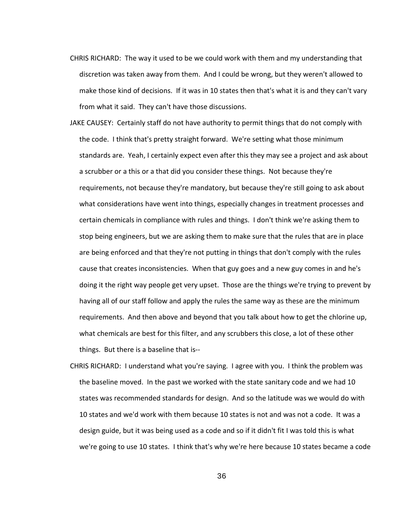- CHRIS RICHARD: The way it used to be we could work with them and my understanding that discretion was taken away from them. And I could be wrong, but they weren't allowed to make those kind of decisions. If it was in 10 states then that's what it is and they can't vary from what it said. They can't have those discussions.
- JAKE CAUSEY: Certainly staff do not have authority to permit things that do not comply with the code. I think that's pretty straight forward. We're setting what those minimum standards are. Yeah, I certainly expect even after this they may see a project and ask about a scrubber or a this or a that did you consider these things. Not because they're requirements, not because they're mandatory, but because they're still going to ask about what considerations have went into things, especially changes in treatment processes and certain chemicals in compliance with rules and things. I don't think we're asking them to stop being engineers, but we are asking them to make sure that the rules that are in place are being enforced and that they're not putting in things that don't comply with the rules cause that creates inconsistencies. When that guy goes and a new guy comes in and he's doing it the right way people get very upset. Those are the things we're trying to prevent by having all of our staff follow and apply the rules the same way as these are the minimum requirements. And then above and beyond that you talk about how to get the chlorine up, what chemicals are best for this filter, and any scrubbers this close, a lot of these other things. But there is a baseline that is--
- CHRIS RICHARD: I understand what you're saying. I agree with you. I think the problem was the baseline moved. In the past we worked with the state sanitary code and we had 10 states was recommended standards for design. And so the latitude was we would do with 10 states and we'd work with them because 10 states is not and was not a code. It was a design guide, but it was being used as a code and so if it didn't fit I was told this is what we're going to use 10 states. I think that's why we're here because 10 states became a code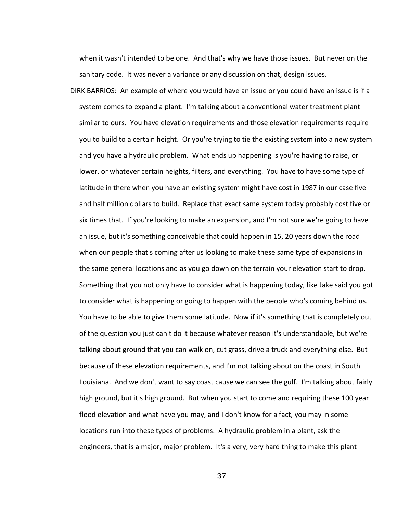when it wasn't intended to be one. And that's why we have those issues. But never on the sanitary code. It was never a variance or any discussion on that, design issues.

DIRK BARRIOS: An example of where you would have an issue or you could have an issue is if a system comes to expand a plant. I'm talking about a conventional water treatment plant similar to ours. You have elevation requirements and those elevation requirements require you to build to a certain height. Or you're trying to tie the existing system into a new system and you have a hydraulic problem. What ends up happening is you're having to raise, or lower, or whatever certain heights, filters, and everything. You have to have some type of latitude in there when you have an existing system might have cost in 1987 in our case five and half million dollars to build. Replace that exact same system today probably cost five or six times that. If you're looking to make an expansion, and I'm not sure we're going to have an issue, but it's something conceivable that could happen in 15, 20 years down the road when our people that's coming after us looking to make these same type of expansions in the same general locations and as you go down on the terrain your elevation start to drop. Something that you not only have to consider what is happening today, like Jake said you got to consider what is happening or going to happen with the people who's coming behind us. You have to be able to give them some latitude. Now if it's something that is completely out of the question you just can't do it because whatever reason it's understandable, but we're talking about ground that you can walk on, cut grass, drive a truck and everything else. But because of these elevation requirements, and I'm not talking about on the coast in South Louisiana. And we don't want to say coast cause we can see the gulf. I'm talking about fairly high ground, but it's high ground. But when you start to come and requiring these 100 year flood elevation and what have you may, and I don't know for a fact, you may in some locations run into these types of problems. A hydraulic problem in a plant, ask the engineers, that is a major, major problem. It's a very, very hard thing to make this plant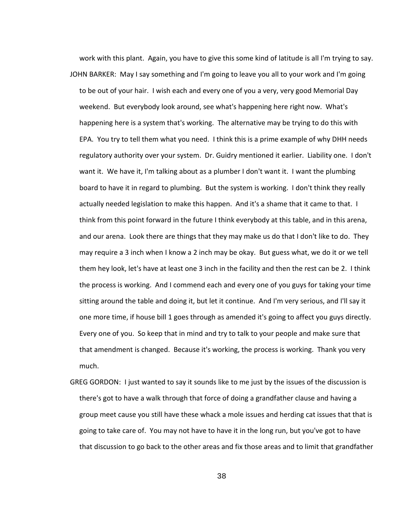work with this plant. Again, you have to give this some kind of latitude is all I'm trying to say. JOHN BARKER: May I say something and I'm going to leave you all to your work and I'm going to be out of your hair. I wish each and every one of you a very, very good Memorial Day weekend. But everybody look around, see what's happening here right now. What's happening here is a system that's working. The alternative may be trying to do this with EPA. You try to tell them what you need. I think this is a prime example of why DHH needs regulatory authority over your system. Dr. Guidry mentioned it earlier. Liability one. I don't want it. We have it, I'm talking about as a plumber I don't want it. I want the plumbing board to have it in regard to plumbing. But the system is working. I don't think they really actually needed legislation to make this happen. And it's a shame that it came to that. I think from this point forward in the future I think everybody at this table, and in this arena, and our arena. Look there are things that they may make us do that I don't like to do. They may require a 3 inch when I know a 2 inch may be okay. But guess what, we do it or we tell them hey look, let's have at least one 3 inch in the facility and then the rest can be 2. I think the process is working. And I commend each and every one of you guys for taking your time sitting around the table and doing it, but let it continue. And I'm very serious, and I'll say it one more time, if house bill 1 goes through as amended it's going to affect you guys directly. Every one of you. So keep that in mind and try to talk to your people and make sure that that amendment is changed. Because it's working, the process is working. Thank you very much.

GREG GORDON: I just wanted to say it sounds like to me just by the issues of the discussion is there's got to have a walk through that force of doing a grandfather clause and having a group meet cause you still have these whack a mole issues and herding cat issues that that is going to take care of. You may not have to have it in the long run, but you've got to have that discussion to go back to the other areas and fix those areas and to limit that grandfather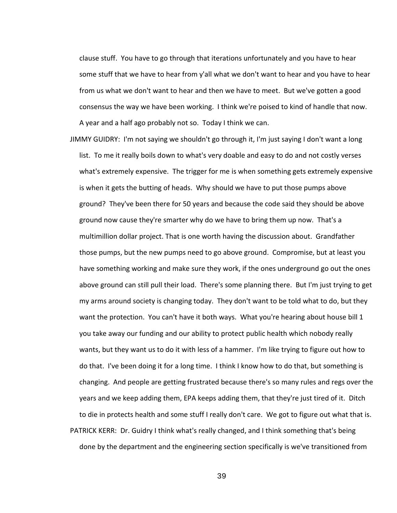clause stuff. You have to go through that iterations unfortunately and you have to hear some stuff that we have to hear from y'all what we don't want to hear and you have to hear from us what we don't want to hear and then we have to meet. But we've gotten a good consensus the way we have been working. I think we're poised to kind of handle that now. A year and a half ago probably not so. Today I think we can.

JIMMY GUIDRY: I'm not saying we shouldn't go through it, I'm just saying I don't want a long list. To me it really boils down to what's very doable and easy to do and not costly verses what's extremely expensive. The trigger for me is when something gets extremely expensive is when it gets the butting of heads. Why should we have to put those pumps above ground? They've been there for 50 years and because the code said they should be above ground now cause they're smarter why do we have to bring them up now. That's a multimillion dollar project. That is one worth having the discussion about. Grandfather those pumps, but the new pumps need to go above ground. Compromise, but at least you have something working and make sure they work, if the ones underground go out the ones above ground can still pull their load. There's some planning there. But I'm just trying to get my arms around society is changing today. They don't want to be told what to do, but they want the protection. You can't have it both ways. What you're hearing about house bill 1 you take away our funding and our ability to protect public health which nobody really wants, but they want us to do it with less of a hammer. I'm like trying to figure out how to do that. I've been doing it for a long time. I think I know how to do that, but something is changing. And people are getting frustrated because there's so many rules and regs over the years and we keep adding them, EPA keeps adding them, that they're just tired of it. Ditch to die in protects health and some stuff I really don't care. We got to figure out what that is. PATRICK KERR: Dr. Guidry I think what's really changed, and I think something that's being done by the department and the engineering section specifically is we've transitioned from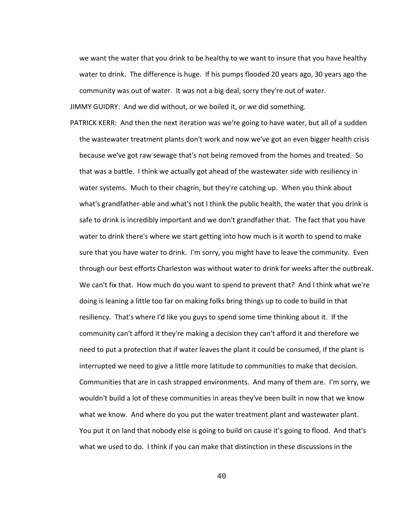we want the water that you drink to be healthy to we want to insure that you have healthy water to drink. The difference is huge. If his pumps flooded 20 years ago, 30 years ago the community was out of water. It was not a big deal, sorry they're out of water.

JIMMY GUIDRY: And we did without, or we boiled it, or we did something.

PATRICK KERR: And then the next iteration was we're going to have water, but all of a sudden the wastewater treatment plants don't work and now we've got an even bigger health crisis because we've got raw sewage that's not being removed from the homes and treated. So that was a battle. I think we actually got ahead of the wastewater side with resiliency in water systems. Much to their chagrin, but they're catching up. When you think about what's grandfather-able and what's not I think the public health, the water that you drink is safe to drink is incredibly important and we don't grandfather that. The fact that you have water to drink there's where we start getting into how much is it worth to spend to make sure that you have water to drink. I'm sorry, you might have to leave the community. Even through our best efforts Charleston was without water to drink for weeks after the outbreak. We can't fix that. How much do you want to spend to prevent that? And I think what we're doing is leaning a little too far on making folks bring things up to code to build in that resiliency. That's where I'd like you guys to spend some time thinking about it. If the community can't afford it they're making a decision they can't afford it and therefore we need to put a protection that if water leaves the plant it could be consumed, if the plant is interrupted we need to give a little more latitude to communities to make that decision. Communities that are in cash strapped environments. And many of them are. I'm sorry, we wouldn't build a lot of these communities in areas they've been built in now that we know what we know. And where do you put the water treatment plant and wastewater plant. You put it on land that nobody else is going to build on cause it's going to flood. And that's what we used to do. I think if you can make that distinction in these discussions in the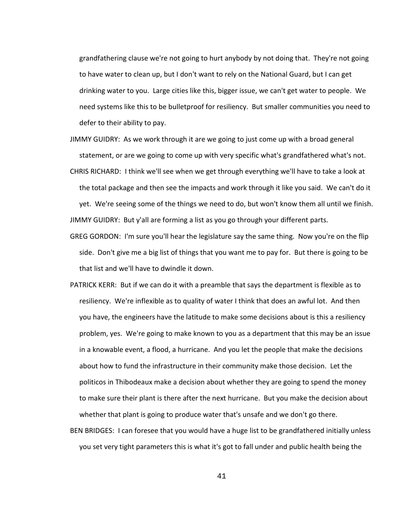grandfathering clause we're not going to hurt anybody by not doing that. They're not going to have water to clean up, but I don't want to rely on the National Guard, but I can get drinking water to you. Large cities like this, bigger issue, we can't get water to people. We need systems like this to be bulletproof for resiliency. But smaller communities you need to defer to their ability to pay.

- JIMMY GUIDRY: As we work through it are we going to just come up with a broad general statement, or are we going to come up with very specific what's grandfathered what's not.
- CHRIS RICHARD: I think we'll see when we get through everything we'll have to take a look at the total package and then see the impacts and work through it like you said. We can't do it yet. We're seeing some of the things we need to do, but won't know them all until we finish. JIMMY GUIDRY: But y'all are forming a list as you go through your different parts.
- GREG GORDON: I'm sure you'll hear the legislature say the same thing. Now you're on the flip side. Don't give me a big list of things that you want me to pay for. But there is going to be that list and we'll have to dwindle it down.
- PATRICK KERR: But if we can do it with a preamble that says the department is flexible as to resiliency. We're inflexible as to quality of water I think that does an awful lot. And then you have, the engineers have the latitude to make some decisions about is this a resiliency problem, yes. We're going to make known to you as a department that this may be an issue in a knowable event, a flood, a hurricane. And you let the people that make the decisions about how to fund the infrastructure in their community make those decision. Let the politicos in Thibodeaux make a decision about whether they are going to spend the money to make sure their plant is there after the next hurricane. But you make the decision about whether that plant is going to produce water that's unsafe and we don't go there.
- BEN BRIDGES: I can foresee that you would have a huge list to be grandfathered initially unless you set very tight parameters this is what it's got to fall under and public health being the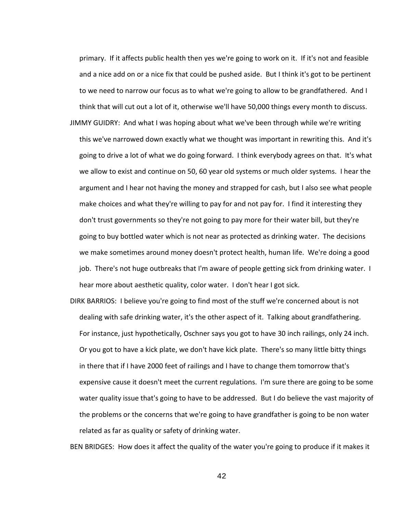primary. If it affects public health then yes we're going to work on it. If it's not and feasible and a nice add on or a nice fix that could be pushed aside. But I think it's got to be pertinent to we need to narrow our focus as to what we're going to allow to be grandfathered. And I think that will cut out a lot of it, otherwise we'll have 50,000 things every month to discuss.

JIMMY GUIDRY: And what I was hoping about what we've been through while we're writing

- this we've narrowed down exactly what we thought was important in rewriting this. And it's going to drive a lot of what we do going forward. I think everybody agrees on that. It's what we allow to exist and continue on 50, 60 year old systems or much older systems. I hear the argument and I hear not having the money and strapped for cash, but I also see what people make choices and what they're willing to pay for and not pay for. I find it interesting they don't trust governments so they're not going to pay more for their water bill, but they're going to buy bottled water which is not near as protected as drinking water. The decisions we make sometimes around money doesn't protect health, human life. We're doing a good job. There's not huge outbreaks that I'm aware of people getting sick from drinking water. I hear more about aesthetic quality, color water. I don't hear I got sick.
- DIRK BARRIOS: I believe you're going to find most of the stuff we're concerned about is not dealing with safe drinking water, it's the other aspect of it. Talking about grandfathering. For instance, just hypothetically, Oschner says you got to have 30 inch railings, only 24 inch. Or you got to have a kick plate, we don't have kick plate. There's so many little bitty things in there that if I have 2000 feet of railings and I have to change them tomorrow that's expensive cause it doesn't meet the current regulations. I'm sure there are going to be some water quality issue that's going to have to be addressed. But I do believe the vast majority of the problems or the concerns that we're going to have grandfather is going to be non water related as far as quality or safety of drinking water.

BEN BRIDGES: How does it affect the quality of the water you're going to produce if it makes it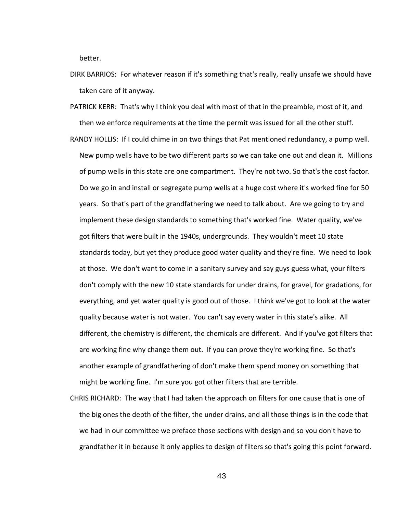better.

- DIRK BARRIOS: For whatever reason if it's something that's really, really unsafe we should have taken care of it anyway.
- PATRICK KERR: That's why I think you deal with most of that in the preamble, most of it, and then we enforce requirements at the time the permit was issued for all the other stuff.
- RANDY HOLLIS: If I could chime in on two things that Pat mentioned redundancy, a pump well. New pump wells have to be two different parts so we can take one out and clean it. Millions of pump wells in this state are one compartment. They're not two. So that's the cost factor. Do we go in and install or segregate pump wells at a huge cost where it's worked fine for 50 years. So that's part of the grandfathering we need to talk about. Are we going to try and implement these design standards to something that's worked fine. Water quality, we've got filters that were built in the 1940s, undergrounds. They wouldn't meet 10 state standards today, but yet they produce good water quality and they're fine. We need to look at those. We don't want to come in a sanitary survey and say guys guess what, your filters don't comply with the new 10 state standards for under drains, for gravel, for gradations, for everything, and yet water quality is good out of those. I think we've got to look at the water quality because water is not water. You can't say every water in this state's alike. All different, the chemistry is different, the chemicals are different. And if you've got filters that are working fine why change them out. If you can prove they're working fine. So that's another example of grandfathering of don't make them spend money on something that might be working fine. I'm sure you got other filters that are terrible.
- CHRIS RICHARD: The way that I had taken the approach on filters for one cause that is one of the big ones the depth of the filter, the under drains, and all those things is in the code that we had in our committee we preface those sections with design and so you don't have to grandfather it in because it only applies to design of filters so that's going this point forward.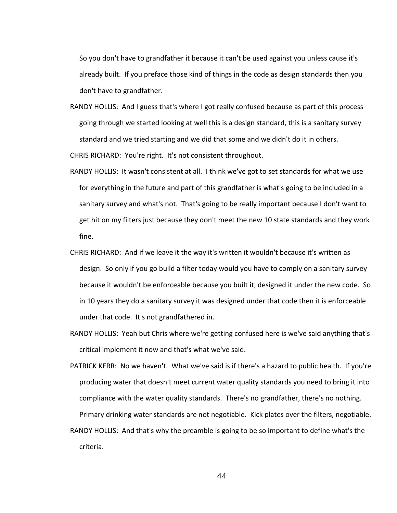So you don't have to grandfather it because it can't be used against you unless cause it's already built. If you preface those kind of things in the code as design standards then you don't have to grandfather.

- RANDY HOLLIS: And I guess that's where I got really confused because as part of this process going through we started looking at well this is a design standard, this is a sanitary survey standard and we tried starting and we did that some and we didn't do it in others. CHRIS RICHARD: You're right. It's not consistent throughout.
- RANDY HOLLIS: It wasn't consistent at all. I think we've got to set standards for what we use for everything in the future and part of this grandfather is what's going to be included in a sanitary survey and what's not. That's going to be really important because I don't want to get hit on my filters just because they don't meet the new 10 state standards and they work fine.
- CHRIS RICHARD: And if we leave it the way it's written it wouldn't because it's written as design. So only if you go build a filter today would you have to comply on a sanitary survey because it wouldn't be enforceable because you built it, designed it under the new code. So in 10 years they do a sanitary survey it was designed under that code then it is enforceable under that code. It's not grandfathered in.
- RANDY HOLLIS: Yeah but Chris where we're getting confused here is we've said anything that's critical implement it now and that's what we've said.
- PATRICK KERR: No we haven't. What we've said is if there's a hazard to public health. If you're producing water that doesn't meet current water quality standards you need to bring it into compliance with the water quality standards. There's no grandfather, there's no nothing. Primary drinking water standards are not negotiable. Kick plates over the filters, negotiable.
- RANDY HOLLIS: And that's why the preamble is going to be so important to define what's the criteria.